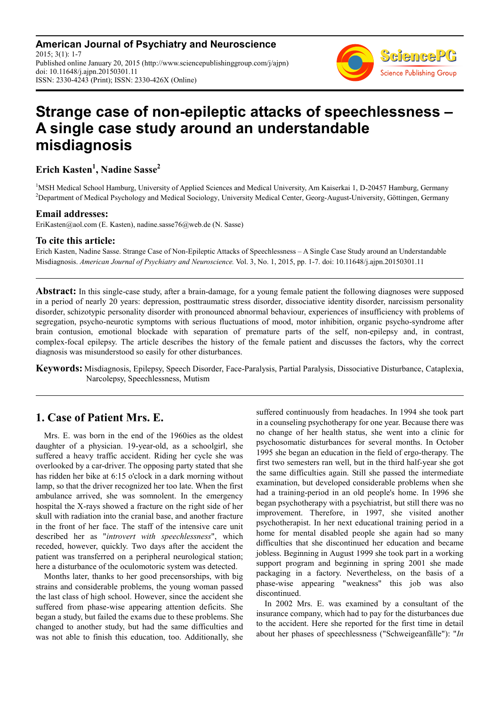**American Journal of Psychiatry and Neuroscience** 2015; 3(1): 1-7 Published online January 20, 2015 (http://www.sciencepublishinggroup.com/j/ajpn) doi: 10.11648/j.ajpn.20150301.11 ISSN: 2330-4243 (Print); ISSN: 2330-426X (Online)



# **Strange case of non-epileptic attacks of speechlessness – A single case study around an understandable misdiagnosis**

**Erich Kasten<sup>1</sup> , Nadine Sasse<sup>2</sup>**

<sup>1</sup>MSH Medical School Hamburg, University of Applied Sciences and Medical University, Am Kaiserkai 1, D-20457 Hamburg, Germany <sup>2</sup>Department of Medical Psychology and Medical Sociology, University Medical Center, Georg-August-University, Göttingen, Germany

#### **Email addresses:**

EriKasten@aol.com (E. Kasten), nadine.sasse76@web.de (N. Sasse)

#### **To cite this article:**

Erich Kasten, Nadine Sasse. Strange Case of Non-Epileptic Attacks of Speechlessness – A Single Case Study around an Understandable Misdiagnosis. *American Journal of Psychiatry and Neuroscience.* Vol. 3, No. 1, 2015, pp. 1-7. doi: 10.11648/j.ajpn.20150301.11

**Abstract:** In this single-case study, after a brain-damage, for a young female patient the following diagnoses were supposed in a period of nearly 20 years: depression, posttraumatic stress disorder, dissociative identity disorder, narcissism personality disorder, schizotypic personality disorder with pronounced abnormal behaviour, experiences of insufficiency with problems of segregation, psycho-neurotic symptoms with serious fluctuations of mood, motor inhibition, organic psycho-syndrome after brain contusion, emotional blockade with separation of premature parts of the self, non-epilepsy and, in contrast, complex-focal epilepsy. The article describes the history of the female patient and discusses the factors, why the correct diagnosis was misunderstood so easily for other disturbances.

**Keywords:** Misdiagnosis, Epilepsy, Speech Disorder, Face-Paralysis, Partial Paralysis, Dissociative Disturbance, Cataplexia, Narcolepsy, Speechlessness, Mutism

## **1. Case of Patient Mrs. E.**

Mrs. E. was born in the end of the 1960ies as the oldest daughter of a physician. 19-year-old, as a schoolgirl, she suffered a heavy traffic accident. Riding her cycle she was overlooked by a car-driver. The opposing party stated that she has ridden her bike at 6:15 o'clock in a dark morning without lamp, so that the driver recognized her too late. When the first ambulance arrived, she was somnolent. In the emergency hospital the X-rays showed a fracture on the right side of her skull with radiation into the cranial base, and another fracture in the front of her face. The staff of the intensive care unit described her as "*introvert with speechlessness*", which receded, however, quickly. Two days after the accident the patient was transferred on a peripheral neurological station; here a disturbance of the oculomotoric system was detected.

Months later, thanks to her good precensorships, with big strains and considerable problems, the young woman passed the last class of high school. However, since the accident she suffered from phase-wise appearing attention deficits. She began a study, but failed the exams due to these problems. She changed to another study, but had the same difficulties and was not able to finish this education, too. Additionally, she suffered continuously from headaches. In 1994 she took part in a counseling psychotherapy for one year. Because there was no change of her health status, she went into a clinic for psychosomatic disturbances for several months. In October 1995 she began an education in the field of ergo-therapy. The first two semesters ran well, but in the third half-year she got the same difficulties again. Still she passed the intermediate examination, but developed considerable problems when she had a training-period in an old people's home. In 1996 she began psychotherapy with a psychiatrist, but still there was no improvement. Therefore, in 1997, she visited another psychotherapist. In her next educational training period in a home for mental disabled people she again had so many difficulties that she discontinued her education and became jobless. Beginning in August 1999 she took part in a working support program and beginning in spring 2001 she made packaging in a factory. Nevertheless, on the basis of a phase-wise appearing "weakness" this job was also discontinued.

In 2002 Mrs. E. was examined by a consultant of the insurance company, which had to pay for the disturbances due to the accident. Here she reported for the first time in detail about her phases of speechlessness ("Schweigeanfälle"): "*In*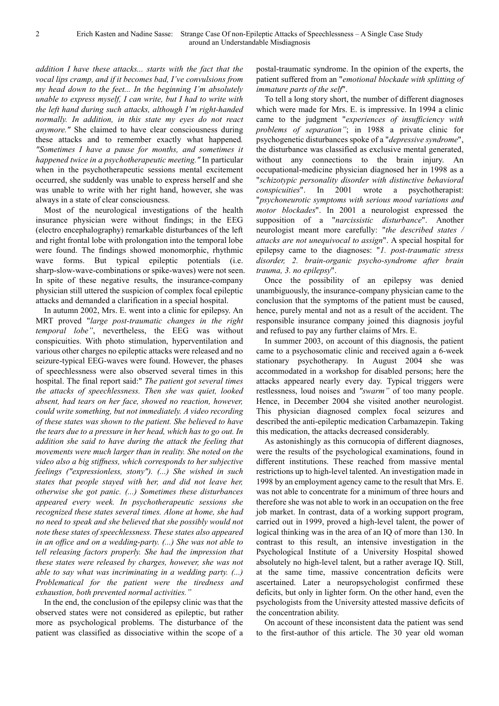*addition I have these attacks... starts with the fact that the vocal lips cramp, and if it becomes bad, I've convulsions from my head down to the feet... In the beginning I'm absolutely unable to express myself, I can write, but I had to write with the left hand during such attacks, although I'm right-handed normally. In addition, in this state my eyes do not react anymore."* She claimed to have clear consciousness during these attacks and to remember exactly what happened*. "Sometimes I have a pause for months, and sometimes it happened twice in a psychotherapeutic meeting."* In particular when in the psychotherapeutic sessions mental excitement occurred, she suddenly was unable to express herself and she was unable to write with her right hand, however, she was always in a state of clear consciousness.

Most of the neurological investigations of the health insurance physician were without findings; in the EEG (electro encephalography) remarkable disturbances of the left and right frontal lobe with prolongation into the temporal lobe were found. The findings showed monomorphic, rhythmic wave forms. But typical epileptic potentials (i.e. sharp-slow-wave-combinations or spike-waves) were not seen. In spite of these negative results, the insurance-company physician still uttered the suspicion of complex focal epileptic attacks and demanded a clarification in a special hospital.

In autumn 2002, Mrs. E. went into a clinic for epilepsy. An MRT proved "*large post-traumatic changes in the right temporal lobe"*, nevertheless, the EEG was without conspicuities. With photo stimulation, hyperventilation and various other charges no epileptic attacks were released and no seizure-typical EEG-waves were found. However, the phases of speechlessness were also observed several times in this hospital. The final report said:" *The patient got several times the attacks of speechlessness. Then she was quiet, looked absent, had tears on her face, showed no reaction, however, could write something, but not immediately. A video recording of these states was shown to the patient. She believed to have the tears due to a pressure in her head, which has to go out. In addition she said to have during the attack the feeling that movements were much larger than in reality. She noted on the video also a big stiffness, which corresponds to her subjective feelings ("expressionless, stony"). (...) She wished in such states that people stayed with her, and did not leave her, otherwise she got panic. (...) Sometimes these disturbances appeared every week. In psychotherapeutic sessions she recognized these states several times. Alone at home, she had no need to speak and she believed that she possibly would not note these states of speechlessness. These states also appeared in an office and on a wedding-party. (...) She was not able to tell releasing factors properly. She had the impression that these states were released by charges, however, she was not able to say what was incriminating in a wedding party. (...) Problematical for the patient were the tiredness and exhaustion, both prevented normal activities."* 

In the end, the conclusion of the epilepsy clinic was that the observed states were not considered as epileptic, but rather more as psychological problems. The disturbance of the patient was classified as dissociative within the scope of a

postal-traumatic syndrome. In the opinion of the experts, the patient suffered from an "*emotional blockade with splitting of immature parts of the self*".

To tell a long story short, the number of different diagnoses which were made for Mrs. E. is impressive. In 1994 a clinic came to the judgment "*experiences of insufficiency with problems of separation"*; in 1988 a private clinic for psychogenetic disturbances spoke of a "*depressive syndrome*", the disturbance was classified as exclusive mental generated, without any connections to the brain injury. An occupational-medicine physician diagnosed her in 1998 as a "*schizotypic personality disorder with distinctive behavioral conspicuities*". In 2001 wrote a psychotherapist: "*psychoneurotic symptoms with serious mood variations and motor blockades*". In 2001 a neurologist expressed the supposition of a "*narcissistic disturbance*". Another neurologist meant more carefully: "*the described states / attacks are not unequivocal to assign*". A special hospital for epilepsy came to the diagnoses: "*1. post-traumatic stress disorder, 2. brain-organic psycho-syndrome after brain trauma, 3. no epilepsy*".

Once the possibility of an epilepsy was denied unambiguously, the insurance-company physician came to the conclusion that the symptoms of the patient must be caused, hence, purely mental and not as a result of the accident. The responsible insurance company joined this diagnosis joyful and refused to pay any further claims of Mrs. E.

In summer 2003, on account of this diagnosis, the patient came to a psychosomatic clinic and received again a 6-week stationary psychotherapy. In August 2004 she was accommodated in a workshop for disabled persons; here the attacks appeared nearly every day. Typical triggers were restlessness, loud noises and *"swarm"* of too many people. Hence, in December 2004 she visited another neurologist. This physician diagnosed complex focal seizures and described the anti-epileptic medication Carbamazepin. Taking this medication, the attacks decreased considerably.

As astonishingly as this cornucopia of different diagnoses, were the results of the psychological examinations, found in different institutions. These reached from massive mental restrictions up to high-level talented. An investigation made in 1998 by an employment agency came to the result that Mrs. E. was not able to concentrate for a minimum of three hours and therefore she was not able to work in an occupation on the free job market. In contrast, data of a working support program, carried out in 1999, proved a high-level talent, the power of logical thinking was in the area of an IQ of more than 130. In contrast to this result, an intensive investigation in the Psychological Institute of a University Hospital showed absolutely no high-level talent, but a rather average IQ. Still, at the same time, massive concentration deficits were ascertained. Later a neuropsychologist confirmed these deficits, but only in lighter form. On the other hand, even the psychologists from the University attested massive deficits of the concentration ability.

On account of these inconsistent data the patient was send to the first-author of this article. The 30 year old woman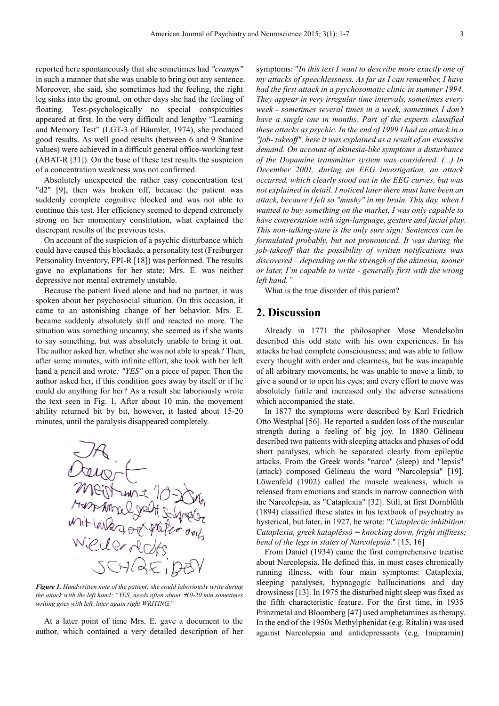reported here spontaneously that she sometimes had *"cramps"* in such a manner that she was unable to bring out any sentence. Moreover, she said, she sometimes had the feeling, the right leg sinks into the ground, on other days she had the feeling of floating. Test-psychologically no special conspicuities appeared at first. In the very difficult and lengthy "Learning and Memory Test" (LGT-3 of Bäumler, 1974), she produced good results. As well good results (between 6 and 9 Stanine values) were achieved in a difficult general office-working test (ABAT-R [31]). On the base of these test results the suspicion of a concentration weakness was not confirmed.

Absolutely unexpected the rather easy concentration test "d2" [9], then was broken off, because the patient was suddenly complete cognitive blocked and was not able to continue this test. Her efficiency seemed to depend extremely strong on her momentary constitution, what explained the discrepant results of the previous tests.

On account of the suspicion of a psychic disturbance which could have caused this blockade, a personality test (Freiburger Personality Inventory, FPI-R [18]) was performed. The results gave no explanations for her state; Mrs. E. was neither depressive nor mental extremely unstable.

Because the patient lived alone and had no partner, it was spoken about her psychosocial situation. On this occasion, it came to an astonishing change of her behavior. Mrs. E. became suddenly absolutely stiff and reacted no more. The situation was something uncanny, she seemed as if she wants to say something, but was absolutely unable to bring it out. The author asked her, whether she was not able to speak? Then, after some minutes, with infinite effort, she took with her left hand a pencil and wrote*: "YES"* on a piece of paper. Then the author asked her, if this condition goes away by itself or if he could do anything for her? As a result she laboriously wrote the text seen in Fig. 1. After about 10 min. the movement ability returned bit by bit, however, it lasted about 15-20 minutes, until the paralysis disappeared completely.



*Figure 1. Handwritten note of the patient; she could laboriously write during the attack with the left hand: "YES, needs often about*  $\pm 10$ *-20 min sometimes writing goes with left, later again right WRITING."*

At a later point of time Mrs. E. gave a document to the author, which contained a very detailed description of her

symptoms: "*In this text I want to describe more exactly one of my attacks of speechlessness. As far as I can remember, I have had the first attack in a psychosomatic clinic in summer 1994. They appear in very irregular time intervals, sometimes every week - sometimes several times in a week, sometimes I don't have a single one in months. Part of the experts classified these attacks as psychic. In the end of 1999 I had an attack in a "job- takeoff", here it was explained as a result of an excessive demand. On account of akinesia-like symptoms a disturbance of the Dopamine transmitter system was considered. (...) In December 2001, during an EEG investigation, an attack occurred, which clearly stood out in the EEG curves, but was not explained in detail. I noticed later there must have been an attack, because I felt so "mushy" in my brain. This day, when I wanted to buy something on the market, I was only capable to have conversation with sign-language, gesture and facial play. This non-talking-state is the only sure sign: Sentences can be formulated probably, but not pronounced. It was during the job-takeoff that the possibility of written notifications was discovered – depending on the strength of the akinesia, sooner or later, I'm capable to write - generally first with the wrong left hand."*

What is the true disorder of this patient?

#### **2. Discussion**

Already in 1771 the philosopher Mose Mendelsohn described this odd state with his own experiences. In his attacks he had complete consciousness, and was able to follow every thought with order and clearness, but he was incapable of all arbitrary movements, he was unable to move a limb, to give a sound or to open his eyes; and every effort to move was absolutely futile and increased only the adverse sensations which accompanied the state.

In 1877 the symptoms were described by Karl Friedrich Otto Westphal [56]. He reported a sudden loss of the muscular strength during a feeling of big joy. In 1880 Gélineau described two patients with sleeping attacks and phases of odd short paralyses, which he separated clearly from epileptic attacks. From the Greek words "narco" (sleep) and "lepsis" (attack) composed Gélineau the word "Narcolepsia" [19]. Löwenfeld (1902) called the muscle weakness, which is released from emotions and stands in narrow connection with the Narcolepsia, as "Cataplexia" [32]. Still, at first Dornblüth (1894) classified these states in his textbook of psychiatry as hysterical, but later, in 1927, he wrote: "*Cataplectic inhibition: Cataplexia, greek kataplêssô = knocking down, fright stiffness; bend of the legs in states of Narcolepsia.*" [15, 16]

From Daniel (1934) came the first comprehensive treatise about Narcolepsia. He defined this, in most cases chronically running illness, with four main symptoms: Cataplexia, sleeping paralyses, hypnagogíc hallucinations and day drowsiness [13]. In 1975 the disturbed night sleep was fixed as the fifth characteristic feature. For the first time, in 1935 Prinzmetal and Bloomberg [47] used amphetamines as therapy. In the end of the 1950s Methylphenidat (e.g. Ritalin) was used against Narcolepsia and antidepressants (e.g. Imipramin)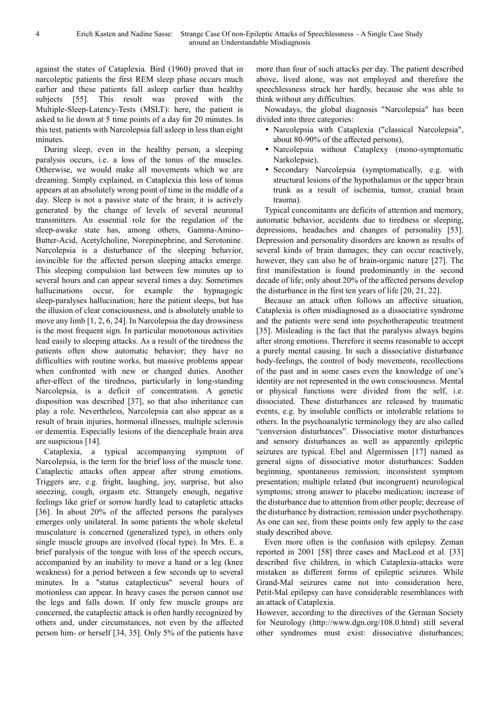against the states of Cataplexia. Bird (1960) proved that in narcoleptic patients the first REM sleep phase occurs much earlier and these patients fall asleep earlier than healthy subjects [55]. This result was proved with the Multiple-Sleep-Latency-Tests (MSLT): here, the patient is asked to lie down at 5 time points of a day for 20 minutes. In this test, patients with Narcolepsia fall asleep in less than eight minutes.

During sleep, even in the healthy person, a sleeping paralysis occurs, i.e. a loss of the tonus of the muscles. Otherwise, we would make all movements which we are dreaming. Simply explained, in Cataplexia this loss of tonus appears at an absolutely wrong point of time in the middle of a day. Sleep is not a passive state of the brain; it is actively generated by the change of levels of several neuronal transmitters. An essential role for the regulation of the sleep-awake state has, among others, Gamma-Amino-Butter-Acid, Acetylcholine, Norepinephrine, and Serotonine. Narcolepsia is a disturbance of the sleeping behavior, invincible for the affected person sleeping attacks emerge. This sleeping compulsion last between few minutes up to several hours and can appear several times a day. Sometimes hallucinations occur, for example the hypnagogic sleep-paralyses hallucination; here the patient sleeps, but has the illusion of clear consciousness, and is absolutely unable to move any limb [1, 2, 6, 24]. In Narcolepsia the day drowsiness is the most frequent sign. In particular monotonous activities lead easily to sleeping attacks. As a result of the tiredness the patients often show automatic behavior; they have no difficulties with routine works, but massive problems appear when confronted with new or changed duties. Another after-effect of the tiredness, particularly in long-standing Narcolepsia, is a deficit of concentration. A genetic disposition was described [37], so that also inheritance can play a role. Nevertheless, Narcolepsia can also appear as a result of brain injuries, hormonal illnesses, multiple sclerosis or dementia. Especially lesions of the diencephale brain area are suspicious [14].

Cataplexia, a typical accompanying symptom of Narcolepsia, is the term for the brief loss of the muscle tone. Cataplectic attacks often appear after strong emotions. Triggers are, e.g. fright, laughing, joy, surprise, but also sneezing, cough, orgasm etc. Strangely enough, negative feelings like grief or sorrow hardly lead to catapletic attacks [36]. In about 20% of the affected persons the paralyses emerges only unilateral. In some patients the whole skeletal musculature is concerned (generalized type), in others only single muscle groups are involved (focal type). In Mrs. E. a brief paralysis of the tongue with loss of the speech occurs, accompanied by an inability to move a hand or a leg (knee weakness) for a period between a few seconds up to several minutes. In a "status cataplecticus" several hours of motionless can appear. In heavy cases the person cannot use the legs and falls down. If only few muscle groups are concerned, the cataplectic attack is often hardly recognized by others and, under circumstances, not even by the affected person him- or herself [34, 35]. Only 5% of the patients have

more than four of such attacks per day. The patient described above, lived alone, was not employed and therefore the speechlessness struck her hardly, because she was able to think without any difficulties.

Nowadays, the global diagnosis "Narcolepsia" has been divided into three categories:

- Narcolepsia with Cataplexia ("classical Narcolepsia", about 80-90% of the affected persons),
- Narcolepsia without Cataplexy (mono-symptomatic Narkolepsie),
- Secondary Narcolepsia (symptomatically, e.g. with structural lesions of the hypothalamus or the upper brain trunk as a result of ischemia, tumor, cranial brain trauma).

Typical concomitants are deficits of attention and memory, automatic behavior, accidents due to tiredness or sleeping, depressions, headaches and changes of personality [53]. Depression and personality disorders are known as results of several kinds of brain damages; they can occur reactively, however, they can also be of brain-organic nature [27]. The first manifestation is found predominantly in the second decade of life; only about 20% of the affected persons develop the disturbance in the first ten years of life [20, 21, 22].

Because an attack often follows an affective situation, Cataplexia is often misdiagnosed as a dissociative syndrome and the patients were send into psychotherapeutic treatment [35]. Misleading is the fact that the paralysis always begins after strong emotions. Therefore it seems reasonable to accept a purely mental causing. In such a dissociative disturbance body-feelings, the control of body movements, recollections of the past and in some cases even the knowledge of one's identity are not represented in the own consciousness. Mental or physical functions were divided from the self, i.e. dissociated. These disturbances are released by traumatic events, e.g. by insoluble conflicts or intolerable relations to others. In the psychoanalytic terminology they are also called "conversion disturbances". Dissociative motor disturbances and sensory disturbances as well as apparently epileptic seizures are typical. Ebel and Algermissen [17] named as general signs of dissociative motor disturbances: Sudden beginning, spontaneous remission; inconsistent symptom presentation; multiple related (but incongruent) neurological symptoms; strong answer to placebo medication; increase of the disturbance due to attention from other people; decrease of the disturbance by distraction; remission under psychotherapy. As one can see, from these points only few apply to the case study described above.

Even more often is the confusion with epilepsy. Zeman reported in 2001 [58] three cases and MacLeod et al. [33] described five children, in which Cataplexia-attacks were mistaken as different forms of epileptic seizures. While Grand-Mal seizures came not into consideration here, Petit-Mal epilepsy can have considerable resemblances with an attack of Cataplexia.

However, according to the directives of the German Society for Neurology (http://www.dgn.org/108.0.html) still several other syndromes must exist: dissociative disturbances;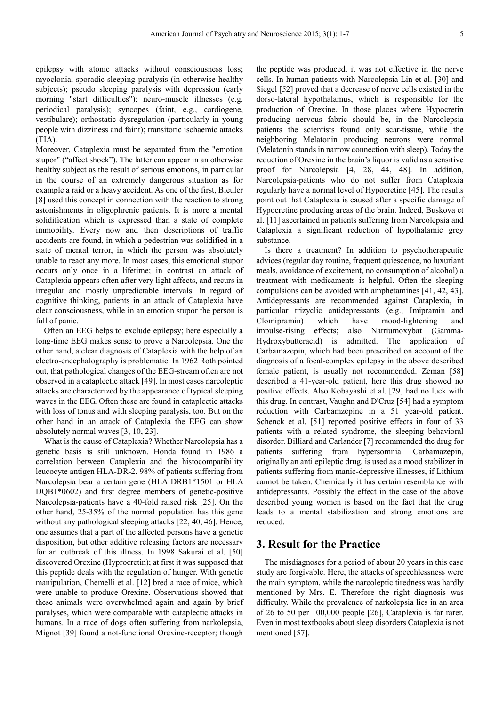epilepsy with atonic attacks without consciousness loss; myoclonia, sporadic sleeping paralysis (in otherwise healthy subjects); pseudo sleeping paralysis with depression (early morning "start difficulties"); neuro-muscle illnesses (e.g. periodical paralysis); syncopes (faint, e.g., cardiogene, vestibulare); orthostatic dysregulation (particularly in young people with dizziness and faint); transitoric ischaemic attacks (TIA).

Moreover, Cataplexia must be separated from the "emotion stupor" ("affect shock"). The latter can appear in an otherwise healthy subject as the result of serious emotions, in particular in the course of an extremely dangerous situation as for example a raid or a heavy accident. As one of the first, Bleuler [8] used this concept in connection with the reaction to strong astonishments in oligophrenic patients. It is more a mental solidification which is expressed than a state of complete immobility. Every now and then descriptions of traffic accidents are found, in which a pedestrian was solidified in a state of mental terror, in which the person was absolutely unable to react any more. In most cases, this emotional stupor occurs only once in a lifetime; in contrast an attack of Cataplexia appears often after very light affects, and recurs in irregular and mostly unpredictable intervals. In regard of cognitive thinking, patients in an attack of Cataplexia have clear consciousness, while in an emotion stupor the person is full of panic.

Often an EEG helps to exclude epilepsy; here especially a long-time EEG makes sense to prove a Narcolepsia. One the other hand, a clear diagnosis of Cataplexia with the help of an electro-encephalography is problematic. In 1962 Roth pointed out, that pathological changes of the EEG-stream often are not observed in a cataplectic attack [49]. In most cases narcoleptic attacks are characterized by the appearance of typical sleeping waves in the EEG. Often these are found in cataplectic attacks with loss of tonus and with sleeping paralysis, too. But on the other hand in an attack of Cataplexia the EEG can show absolutely normal waves [3, 10, 23].

What is the cause of Cataplexia? Whether Narcolepsia has a genetic basis is still unknown. Honda found in 1986 a correlation between Cataplexia and the histocompatibility leucocyte antigen HLA-DR-2. 98% of patients suffering from Narcolepsia bear a certain gene (HLA DRB1\*1501 or HLA DQB1\*0602) and first degree members of genetic-positive Narcolepsia-patients have a 40-fold raised risk [25]. On the other hand, 25-35% of the normal population has this gene without any pathological sleeping attacks [22, 40, 46]. Hence, one assumes that a part of the affected persons have a genetic disposition, but other additive releasing factors are necessary for an outbreak of this illness. In 1998 Sakurai et al. [50] discovered Orexine (Hyprocretin); at first it was supposed that this peptide deals with the regulation of hunger. With genetic manipulation, Chemelli et al. [12] bred a race of mice, which were unable to produce Orexine. Observations showed that these animals were overwhelmed again and again by brief paralyses, which were comparable with cataplectic attacks in humans. In a race of dogs often suffering from narkolepsia, Mignot [39] found a not-functional Orexine-receptor; though

the peptide was produced, it was not effective in the nerve cells. In human patients with Narcolepsia Lin et al. [30] and Siegel [52] proved that a decrease of nerve cells existed in the dorso-lateral hypothalamus, which is responsible for the production of Orexine. In those places where Hypocretin producing nervous fabric should be, in the Narcolepsia patients the scientists found only scar-tissue, while the neighboring Melatonin producing neurons were normal (Melatonin stands in narrow connection with sleep). Today the reduction of Orexine in the brain's liquor is valid as a sensitive proof for Narcolepsia [4, 28, 44, 48]. In addition, Narcolepsia-patients who do not suffer from Cataplexia regularly have a normal level of Hypocretine [45]. The results point out that Cataplexia is caused after a specific damage of Hypocretine producing areas of the brain. Indeed, Buskova et al. [11] ascertained in patients suffering from Narcolepsia and Cataplexia a significant reduction of hypothalamic grey substance.

Is there a treatment? In addition to psychotherapeutic advices (regular day routine, frequent quiescence, no luxuriant meals, avoidance of excitement, no consumption of alcohol) a treatment with medicaments is helpful. Often the sleeping compulsions can be avoided with amphetamines [41, 42, 43]. Antidepressants are recommended against Cataplexia, in particular trizyclic antidepressants (e.g., Imipramin and Clomipramin) which have mood-lightening and impulse-rising effects; also Natriumoxybat (Gamma-Hydroxybutteracid) is admitted. The application of Carbamazepin, which had been prescribed on account of the diagnosis of a focal-complex epilepsy in the above described female patient, is usually not recommended. Zeman [58] described a 41-year-old patient, here this drug showed no positive effects. Also Kobayashi et al. [29] had no luck with this drug. In contrast, Vaughn and D'Cruz [54] had a symptom reduction with Carbamzepine in a 51 year-old patient. Schenck et al. [51] reported positive effects in four of 33 patients with a related syndrome, the sleeping behavioral disorder. Billiard and Carlander [7] recommended the drug for patients suffering from hypersomnia. Carbamazepin, originally an anti epileptic drug, is used as a mood stabilizer in patients suffering from manic-depressive illnesses, if Lithium cannot be taken. Chemically it has certain resemblance with antidepressants. Possibly the effect in the case of the above described young women is based on the fact that the drug leads to a mental stabilization and strong emotions are reduced.

#### **3. Result for the Practice**

The misdiagnoses for a period of about 20 years in this case study are forgivable. Here, the attacks of speechlessness were the main symptom, while the narcoleptic tiredness was hardly mentioned by Mrs. E. Therefore the right diagnosis was difficulty. While the prevalence of narkolepsia lies in an area of 26 to 50 per 100,000 people [26], Cataplexia is far rarer. Even in most textbooks about sleep disorders Cataplexia is not mentioned [57].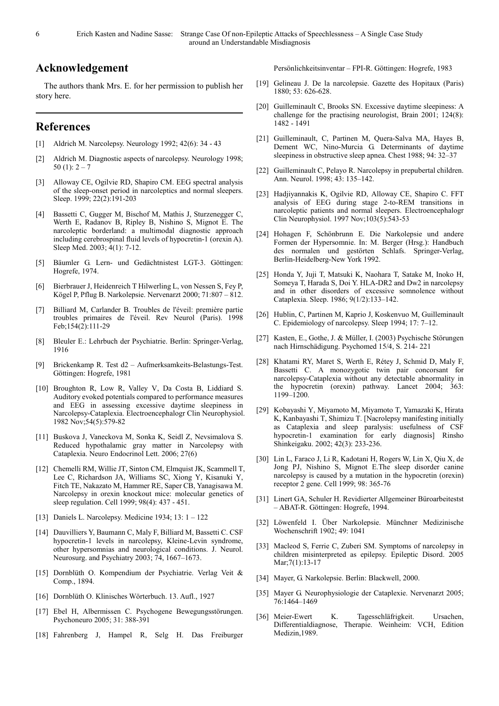### **Acknowledgement**

The authors thank Mrs. E. for her permission to publish her story here.

#### **References**

- [1] Aldrich M. Narcolepsy. Neurology 1992; 42(6): 34 43
- [2] Aldrich M. Diagnostic aspects of narcolepsy. Neurology 1998; 50 (1):  $2 - 7$
- [3] Alloway CE, Ogilvie RD, Shapiro CM. EEG spectral analysis of the sleep-onset period in narcoleptics and normal sleepers. Sleep. 1999; 22(2):191-203
- [4] Bassetti C, Gugger M, Bischof M, Mathis J, Sturzenegger C, Werth E, Radanov B, Ripley B, Nishino S, Mignot E. The narcoleptic borderland: a multimodal diagnostic approach including cerebrospinal fluid levels of hypocretin-1 (orexin A). Sleep Med. 2003; 4(1): 7-12.
- [5] Bäumler G. Lern- und Gedächtnistest LGT-3. Göttingen: Hogrefe, 1974.
- [6] Bierbrauer J, Heidenreich T Hilwerling L, von Nessen S, Fey P, Kögel P, Pflug B. Narkolepsie. Nervenarzt 2000; 71:807 – 812.
- [7] Billiard M, Carlander B. Troubles de l'éveil: première partie troubles primaires de l'éveil. Rev Neurol (Paris). 1998 Feb;154(2):111-29
- [8] Bleuler E.: Lehrbuch der Psychiatrie. Berlin: Springer-Verlag, 1916
- [9] Brickenkamp R. Test d2 Aufmerksamkeits-Belastungs-Test. Göttingen: Hogrefe, 1981
- [10] Broughton R, Low R, Valley V, Da Costa B, Liddiard S. Auditory evoked potentials compared to performance measures and EEG in assessing excessive daytime sleepiness in Narcolepsy-Cataplexia. Electroencephalogr Clin Neurophysiol. 1982 Nov;54(5):579-82
- [11] Buskova J, Vaneckova M, Sonka K, Seidl Z, Nevsimalova S. Reduced hypothalamic gray matter in Narcolepsy with Cataplexia. Neuro Endocrinol Lett. 2006; 27(6)
- [12] Chemelli RM, Willie JT, Sinton CM, Elmquist JK, Scammell T, Lee C, Richardson JA, Williams SC, Xiong Y, Kisanuki Y, Fitch TE, Nakazato M, Hammer RE, Saper CB, Yanagisawa M. Narcolepsy in orexin knockout mice: molecular genetics of sleep regulation. Cell 1999; 98(4): 437 - 451.
- [13] Daniels L. Narcolepsy. Medicine 1934; 13: 1 122
- [14] Dauvilliers Y, Baumann C, Maly F, Billiard M, Bassetti C. CSF hypocretin-1 levels in narcolepsy, Kleine-Levin syndrome, other hypersomnias and neurological conditions. J. Neurol. Neurosurg. and Psychiatry 2003; 74, 1667–1673.
- [15] Dornblüth O. Kompendium der Psychiatrie. Verlag Veit & Comp., 1894.
- [16] Dornblüth O. Klinisches Wörterbuch. 13. Aufl., 1927
- [17] Ebel H, Albermissen C. Psychogene Bewegungsstörungen. Psychoneuro 2005; 31: 388-391
- [18] Fahrenberg J, Hampel R, Selg H. Das Freiburger

Persönlichkeitsinventar – FPI-R. Göttingen: Hogrefe, 1983

- [19] Gelineau J. De la narcolepsie. Gazette des Hopitaux (Paris) 1880; 53: 626-628.
- [20] Guilleminault C, Brooks SN. Excessive daytime sleepiness: A challenge for the practising neurologist, Brain  $2001$ ;  $124(8)$ : 1482 - 1491
- [21] Guilleminault, C, Partinen M, Quera-Salva MA, Hayes B, Dement WC, Nino-Murcia G. Determinants of daytime sleepiness in obstructive sleep apnea. Chest 1988; 94: 32–37
- [22] Guilleminault C, Pelayo R. Narcolepsy in prepubertal children. Ann. Neurol. 1998; 43: 135–142.
- [23] Hadjiyannakis K, Ogilvie RD, Alloway CE, Shapiro C. FFT analysis of EEG during stage 2-to-REM transitions in narcoleptic patients and normal sleepers. Electroencephalogr Clin Neurophysiol. 1997 Nov;103(5):543-53
- [24] Hohagen F, Schönbrunn E. Die Narkolepsie und andere Formen der Hypersomnie. In: M. Berger (Hrsg.): Handbuch des normalen und gestörten Schlafs. Springer-Verlag, Berlin-Heidelberg-New York 1992.
- [25] Honda Y, Juji T, Matsuki K, Naohara T, Satake M, Inoko H, Someya T, Harada S, Doi Y. HLA-DR2 and Dw2 in narcolepsy and in other disorders of excessive somnolence without Cataplexia. Sleep. 1986; 9(1/2):133–142.
- [26] Hublin, C, Partinen M, Kaprio J, Koskenvuo M, Guilleminault C. Epidemiology of narcolepsy. Sleep 1994; 17: 7–12.
- [27] Kasten, E., Gothe, J. & Müller, I. (2003) Psychische Störungen nach Hirnschädigung. Psychomed 15/4, S. 214- 221
- [28] Khatami RY, Maret S, Werth E, Rétey J, Schmid D, Maly F, Bassetti C. A monozygotic twin pair concorsant for narcolepsy-Cataplexia without any detectable abnormality in the hypocretin (orexin) pathway. Lancet 2004; 363: 1199–1200.
- [29] Kobayashi Y, Miyamoto M, Miyamoto T, Yamazaki K, Hirata K, Kanbayashi T, Shimizu T. [Nacrolepsy manifesting initially as Cataplexia and sleep paralysis: usefulness of CSF hypocretin-1 examination for early diagnosis] Rinsho Shinkeigaku. 2002; 42(3): 233-236.
- [30] Lin L, Faraco J, Li R, Kadotani H, Rogers W, Lin X, Qiu X, de Jong PJ, Nishino S, Mignot E.The sleep disorder canine narcolepsy is caused by a mutation in the hypocretin (orexin) receptor 2 gene. Cell 1999; 98: 365-76
- [31] Linert GA, Schuler H. Revidierter Allgemeiner Büroarbeitestst – ABAT-R. Göttingen: Hogrefe, 1994.
- [32] Löwenfeld I. Über Narkolepsie. Münchner Medizinische Wochenschrift 1902; 49: 1041
- [33] Macleod S, Ferrie C, Zuberi SM. Symptoms of narcolepsy in children misinterpreted as epilepsy. Epileptic Disord. 2005 Mar;7(1):13-17
- [34] Mayer, G. Narkolepsie. Berlin: Blackwell, 2000.
- [35] Mayer G. Neurophysiologie der Cataplexie. Nervenarzt 2005; 76:1464–1469
- [36] Meier-Ewert K. Tagesschläfrigkeit. Ursachen, Differentialdiagnose, Therapie. Weinheim: VCH, Edition Medizin,1989.